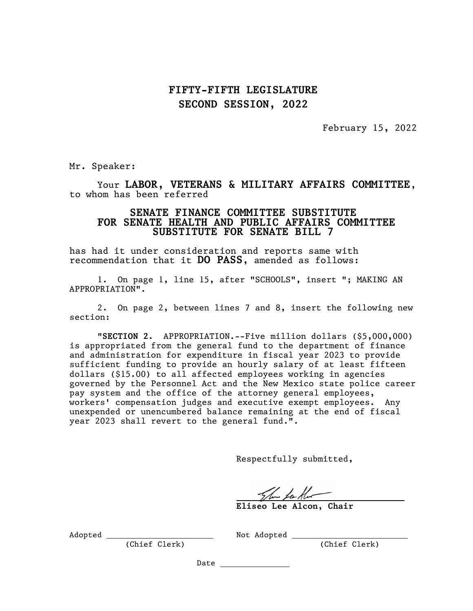## FIFTY-FIFTH LEGISLATURE SECOND SESSION, 2022

February 15, 2022

Mr. Speaker:

Your LABOR, VETERANS & MILITARY AFFAIRS COMMITTEE, to whom has been referred

## SENATE FINANCE COMMITTEE SUBSTITUTE FOR SENATE HEALTH AND PUBLIC AFFAIRS COMMITTEE SUBSTITUTE FOR SENATE BILL 7

has had it under consideration and reports same with recommendation that it DO PASS, amended as follows:

1. On page 1, line 15, after "SCHOOLS", insert "; MAKING AN APPROPRIATION".

2. On page 2, between lines 7 and 8, insert the following new section:

"SECTION 2. APPROPRIATION.--Five million dollars (\$5,000,000) is appropriated from the general fund to the department of finance and administration for expenditure in fiscal year 2023 to provide sufficient funding to provide an hourly salary of at least fifteen dollars (\$15.00) to all affected employees working in agencies governed by the Personnel Act and the New Mexico state police career pay system and the office of the attorney general employees, workers' compensation judges and executive exempt employees. Any unexpended or unencumbered balance remaining at the end of fiscal year 2023 shall revert to the general fund.".

Respectfully submitted,

Eliseo Lee Alcon, Chair

Adopted Not Adopted

(Chief Clerk) (Chief Clerk)

Date